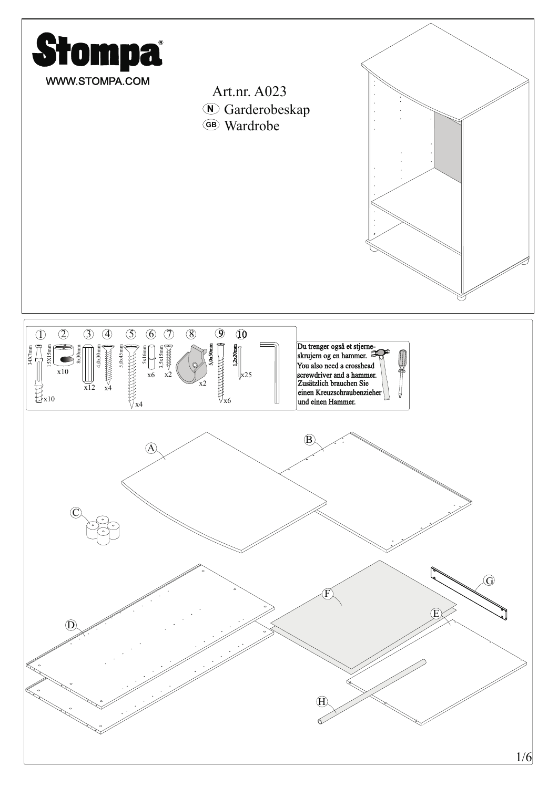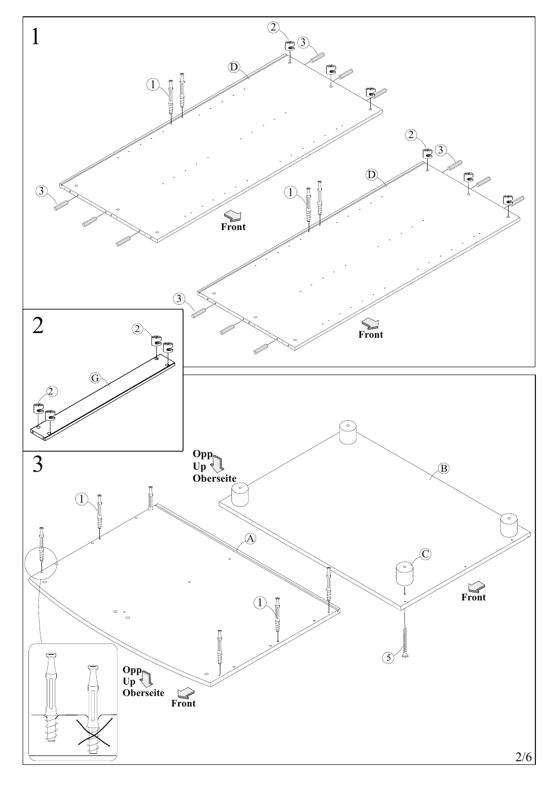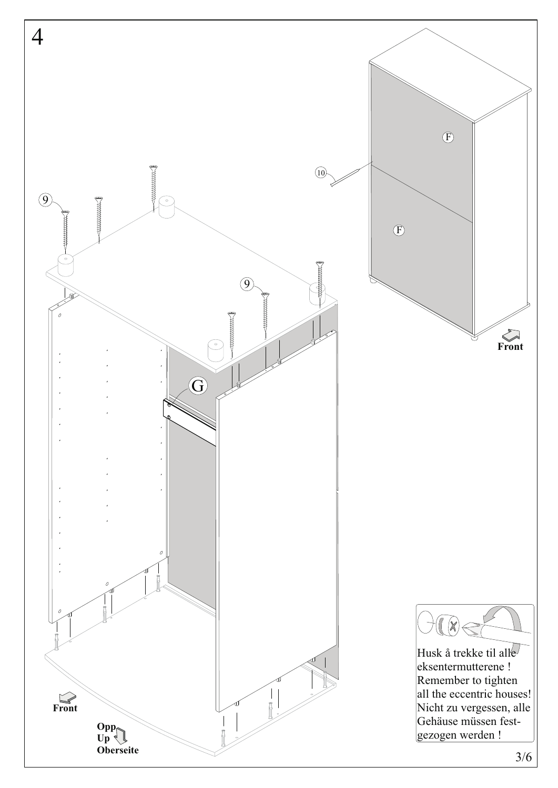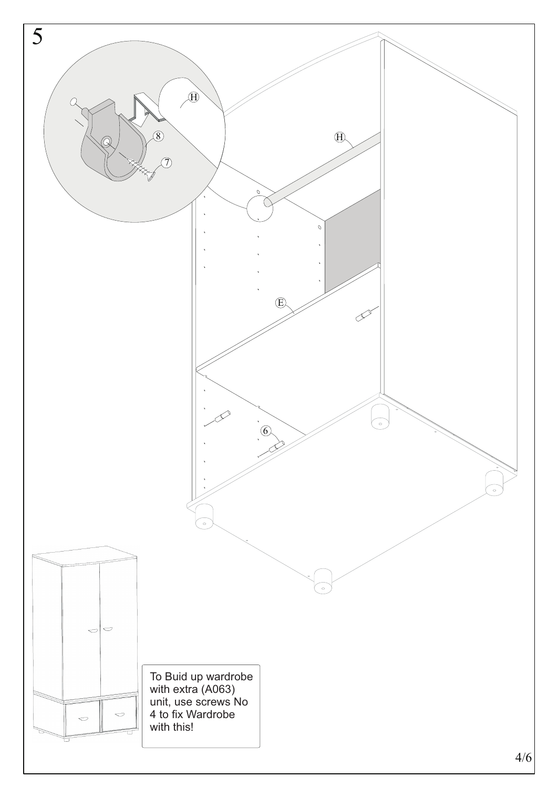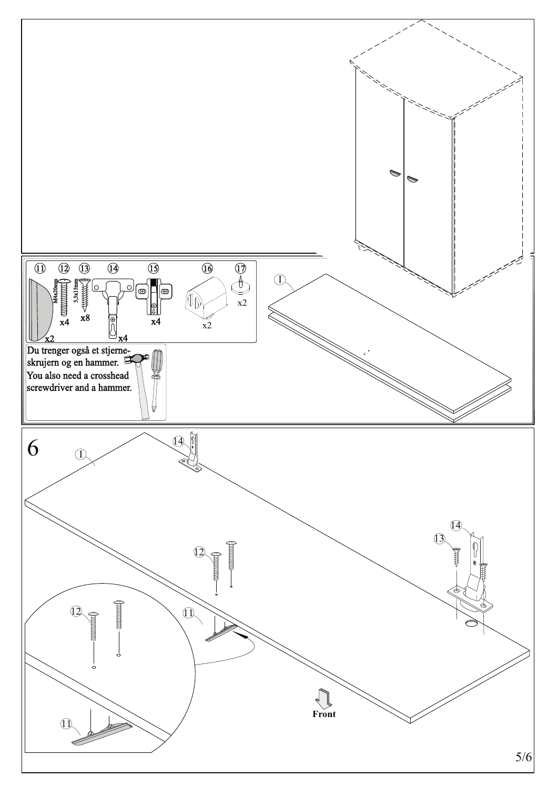